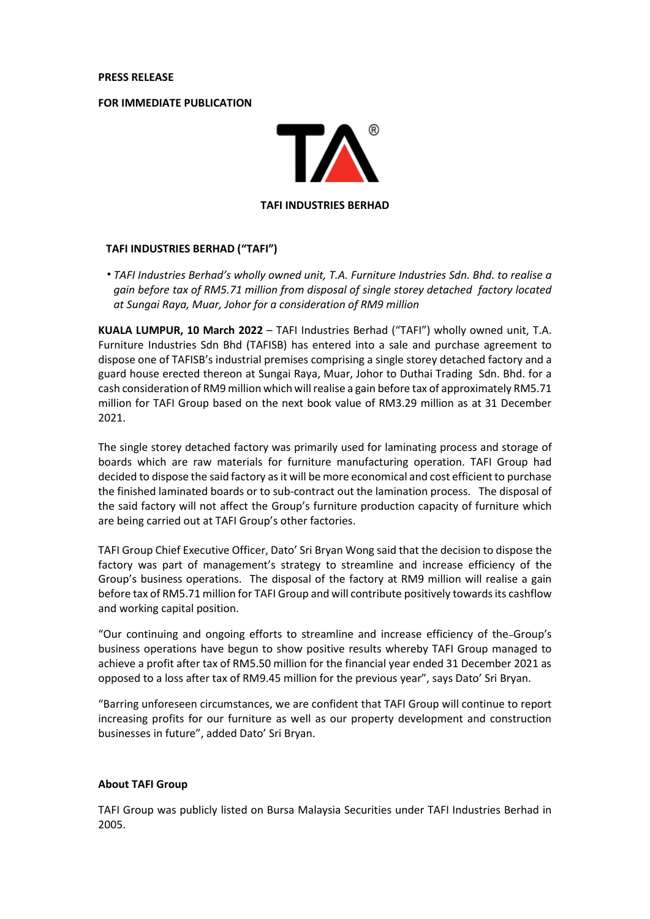**PRESS RELEASE**

**FOR IMMEDIATE PUBLICATION**



## **TAFI INDUSTRIES BERHAD ("TAFI")**

• *TAFI Industries Berhad's wholly owned unit, T.A. Furniture Industries Sdn. Bhd. to realise a gain before tax of RM5.71 million from disposal of single storey detached factory located at Sungai Raya, Muar, Johor for a consideration of RM9 million*

**KUALA LUMPUR, 10 March 2022** – TAFI Industries Berhad ("TAFI") wholly owned unit, T.A. Furniture Industries Sdn Bhd (TAFISB) has entered into a sale and purchase agreement to dispose one of TAFISB's industrial premises comprising a single storey detached factory and a guard house erected thereon at Sungai Raya, Muar, Johor to Duthai Trading Sdn. Bhd. for a cash consideration of RM9 million which will realise a gain before tax of approximately RM5.71 million for TAFI Group based on the next book value of RM3.29 million as at 31 December 2021.

The single storey detached factory was primarily used for laminating process and storage of boards which are raw materials for furniture manufacturing operation. TAFI Group had decided to dispose the said factory as it will be more economical and cost efficient to purchase the finished laminated boards or to sub-contract out the lamination process. The disposal of the said factory will not affect the Group's furniture production capacity of furniture which are being carried out at TAFI Group's other factories.

TAFI Group Chief Executive Officer, Dato' Sri Bryan Wong said that the decision to dispose the factory was part of management's strategy to streamline and increase efficiency of the Group's business operations. The disposal of the factory at RM9 million will realise a gain before tax of RM5.71 million for TAFI Group and will contribute positively towardsits cashflow and working capital position.

"Our continuing and ongoing efforts to streamline and increase efficiency of the Group's business operations have begun to show positive results whereby TAFI Group managed to achieve a profit after tax of RM5.50 million for the financial year ended 31 December 2021 as opposed to a loss after tax of RM9.45 million for the previous year", says Dato' Sri Bryan.

"Barring unforeseen circumstances, we are confident that TAFI Group will continue to report increasing profits for our furniture as well as our property development and construction businesses in future", added Dato' Sri Bryan.

## **About TAFI Group**

TAFI Group was publicly listed on Bursa Malaysia Securities under TAFI Industries Berhad in 2005.